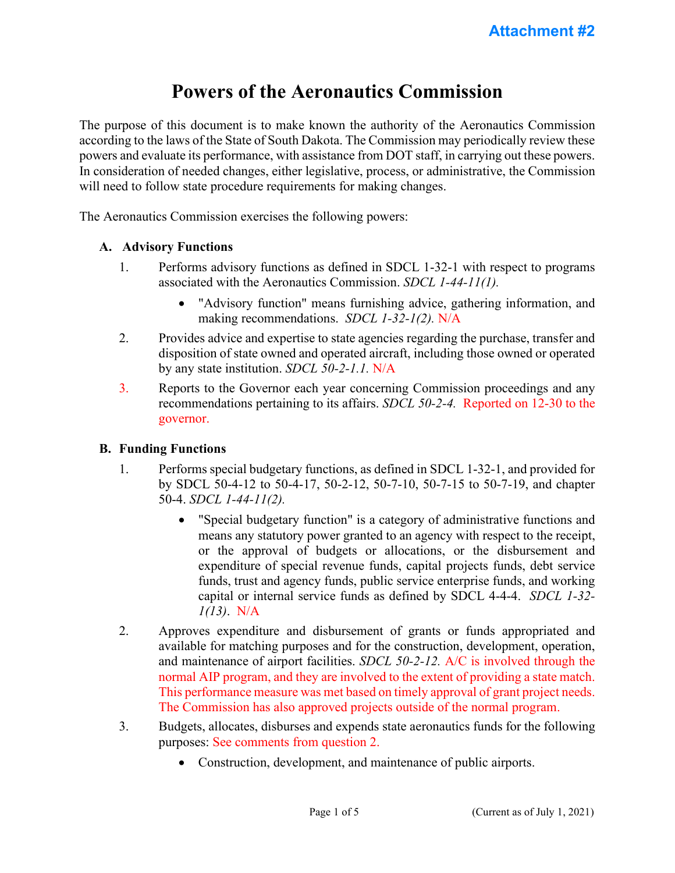# **Powers of the Aeronautics Commission**

The purpose of this document is to make known the authority of the Aeronautics Commission according to the laws of the State of South Dakota. The Commission may periodically review these powers and evaluate its performance, with assistance from DOT staff, in carrying out these powers. In consideration of needed changes, either legislative, process, or administrative, the Commission will need to follow state procedure requirements for making changes.

The Aeronautics Commission exercises the following powers:

#### **A. Advisory Functions**

- 1. Performs advisory functions as defined in SDCL 1-32-1 with respect to programs associated with the Aeronautics Commission. *SDCL 1-44-11(1).*
	- "Advisory function" means furnishing advice, gathering information, and making recommendations. *SDCL 1-32-1(2).* N/A
- 2. Provides advice and expertise to state agencies regarding the purchase, transfer and disposition of state owned and operated aircraft, including those owned or operated by any state institution. *SDCL 50-2-1.1.* N/A
- 3. Reports to the Governor each year concerning Commission proceedings and any recommendations pertaining to its affairs. *SDCL 50-2-4.* Reported on 12-30 to the governor.

#### **B. Funding Functions**

- 1. Performs special budgetary functions, as defined in SDCL 1-32-1, and provided for by SDCL 50-4-12 to 50-4-17, 50-2-12, 50-7-10, 50-7-15 to 50-7-19, and chapter 50-4. *SDCL 1-44-11(2).*
	- "Special budgetary function" is a category of administrative functions and means any statutory power granted to an agency with respect to the receipt, or the approval of budgets or allocations, or the disbursement and expenditure of special revenue funds, capital projects funds, debt service funds, trust and agency funds, public service enterprise funds, and working capital or internal service funds as defined by SDCL 4-4-4. *SDCL 1-32- 1(13)*. N/A
- 2. Approves expenditure and disbursement of grants or funds appropriated and available for matching purposes and for the construction, development, operation, and maintenance of airport facilities. *SDCL 50-2-12.* A/C is involved through the normal AIP program, and they are involved to the extent of providing a state match. This performance measure was met based on timely approval of grant project needs. The Commission has also approved projects outside of the normal program.
- 3. Budgets, allocates, disburses and expends state aeronautics funds for the following purposes: See comments from question 2.
	- Construction, development, and maintenance of public airports.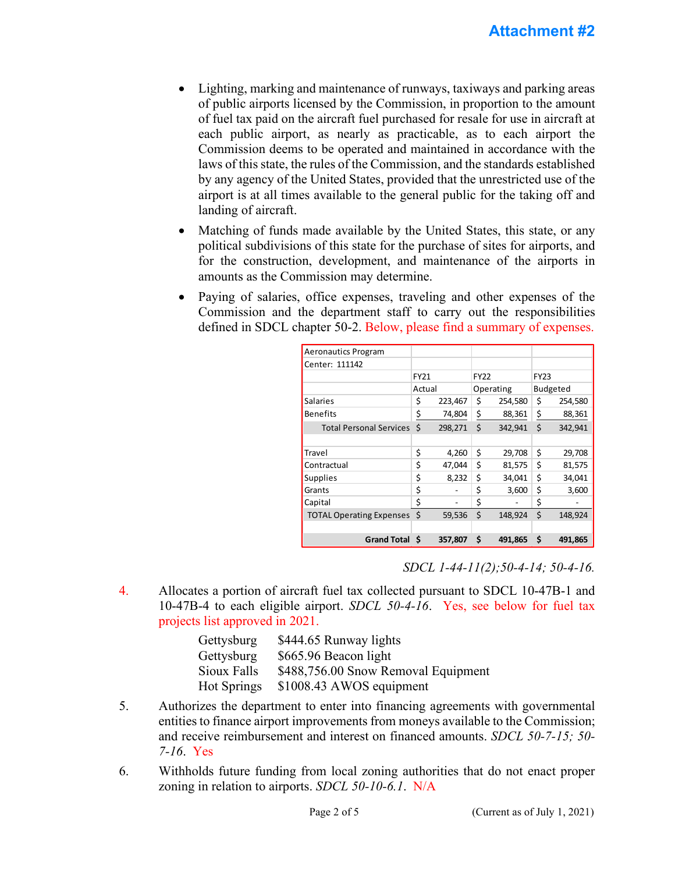- Lighting, marking and maintenance of runways, taxiways and parking areas of public airports licensed by the Commission, in proportion to the amount of fuel tax paid on the aircraft fuel purchased for resale for use in aircraft at each public airport, as nearly as practicable, as to each airport the Commission deems to be operated and maintained in accordance with the laws of this state, the rules of the Commission, and the standards established by any agency of the United States, provided that the unrestricted use of the airport is at all times available to the general public for the taking off and landing of aircraft.
- Matching of funds made available by the United States, this state, or any political subdivisions of this state for the purchase of sites for airports, and for the construction, development, and maintenance of the airports in amounts as the Commission may determine.
- Paying of salaries, office expenses, traveling and other expenses of the Commission and the department staff to carry out the responsibilities defined in SDCL chapter 50-2. Below, please find a summary of expenses.

| <b>Aeronautics Program</b>      |        |         |             |         |             |         |
|---------------------------------|--------|---------|-------------|---------|-------------|---------|
| Center: 111142                  |        |         |             |         |             |         |
|                                 | FY21   |         | <b>FY22</b> |         | <b>FY23</b> |         |
|                                 | Actual |         | Operating   |         | Budgeted    |         |
| <b>Salaries</b>                 | \$     | 223,467 | \$          | 254,580 | \$          | 254,580 |
| <b>Benefits</b>                 | \$     | 74,804  | \$          | 88,361  | \$          | 88,361  |
| <b>Total Personal Services</b>  | Ś      | 298,271 | Ś           | 342,941 | Ś           | 342,941 |
|                                 |        |         |             |         |             |         |
| Travel                          | \$     | 4,260   | Ś           | 29,708  | \$          | 29,708  |
| Contractual                     | \$     | 47,044  | Ś           | 81,575  | \$          | 81,575  |
| <b>Supplies</b>                 | \$     | 8,232   | Ś           | 34,041  | \$          | 34.041  |
| Grants                          | \$     |         | \$          | 3,600   | \$          | 3,600   |
| Capital                         | \$     |         | \$          |         | \$          |         |
| <b>TOTAL Operating Expenses</b> | Ś      | 59,536  | Ś           | 148,924 | Ś           | 148,924 |
|                                 |        |         |             |         |             |         |
| <b>Grand Total S</b>            |        | 357,807 | \$.         | 491,865 | \$          | 491,865 |

*SDCL 1-44-11(2);50-4-14; 50-4-16.* 

4. Allocates a portion of aircraft fuel tax collected pursuant to SDCL 10-47B-1 and 10-47B-4 to each eligible airport. *SDCL 50-4-16*. Yes, see below for fuel tax projects list approved in 2021.

| Gettysburg         | \$444.65 Runway lights              |
|--------------------|-------------------------------------|
| Gettysburg         | \$665.96 Beacon light               |
| Sioux Falls        | \$488,756.00 Snow Removal Equipment |
| <b>Hot Springs</b> | \$1008.43 AWOS equipment            |

- 5. Authorizes the department to enter into financing agreements with governmental entities to finance airport improvements from moneys available to the Commission; and receive reimbursement and interest on financed amounts. *SDCL 50-7-15; 50- 7-16*. Yes
- 6. Withholds future funding from local zoning authorities that do not enact proper zoning in relation to airports. *SDCL 50-10-6.1*. N/A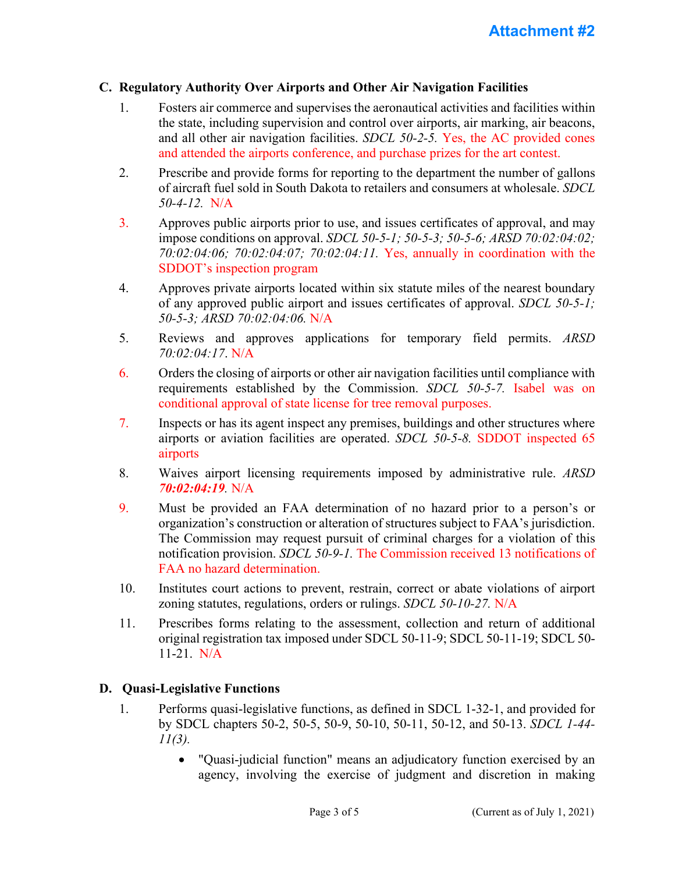#### **C. Regulatory Authority Over Airports and Other Air Navigation Facilities**

- 1. Fosters air commerce and supervises the aeronautical activities and facilities within the state, including supervision and control over airports, air marking, air beacons, and all other air navigation facilities. *SDCL 50-2-5.* Yes, the AC provided cones and attended the airports conference, and purchase prizes for the art contest.
- 2. Prescribe and provide forms for reporting to the department the number of gallons of aircraft fuel sold in South Dakota to retailers and consumers at wholesale. *SDCL 50-4-12.* N/A
- 3. Approves public airports prior to use, and issues certificates of approval, and may impose conditions on approval. *SDCL 50-5-1; 50-5-3; 50-5-6; ARSD 70:02:04:02; 70:02:04:06; 70:02:04:07; 70:02:04:11.* Yes, annually in coordination with the SDDOT's inspection program
- 4. Approves private airports located within six statute miles of the nearest boundary of any approved public airport and issues certificates of approval. *SDCL 50-5-1; 50-5-3; ARSD 70:02:04:06.* N/A
- 5. Reviews and approves applications for temporary field permits. *ARSD 70:02:04:17*. N/A
- 6. Orders the closing of airports or other air navigation facilities until compliance with requirements established by the Commission. *SDCL 50-5-7.* Isabel was on conditional approval of state license for tree removal purposes.
- 7. Inspects or has its agent inspect any premises, buildings and other structures where airports or aviation facilities are operated. *SDCL 50-5-8.* SDDOT inspected 65 airports
- 8. Waives airport licensing requirements imposed by administrative rule. *ARSD 70:02:04:19.* N/A
- 9. Must be provided an FAA determination of no hazard prior to a person's or organization's construction or alteration of structures subject to FAA's jurisdiction. The Commission may request pursuit of criminal charges for a violation of this notification provision. *SDCL 50-9-1.* The Commission received 13 notifications of FAA no hazard determination.
- 10. Institutes court actions to prevent, restrain, correct or abate violations of airport zoning statutes, regulations, orders or rulings. *SDCL 50-10-27.* N/A
- 11. Prescribes forms relating to the assessment, collection and return of additional original registration tax imposed under SDCL 50-11-9; SDCL 50-11-19; SDCL 50- 11-21. N/A

#### **D. Quasi-Legislative Functions**

- 1. Performs quasi-legislative functions, as defined in SDCL 1-32-1, and provided for by SDCL chapters 50-2, 50-5, 50-9, 50-10, 50-11, 50-12, and 50-13. *SDCL 1-44- 11(3).*
	- "Quasi-judicial function" means an adjudicatory function exercised by an agency, involving the exercise of judgment and discretion in making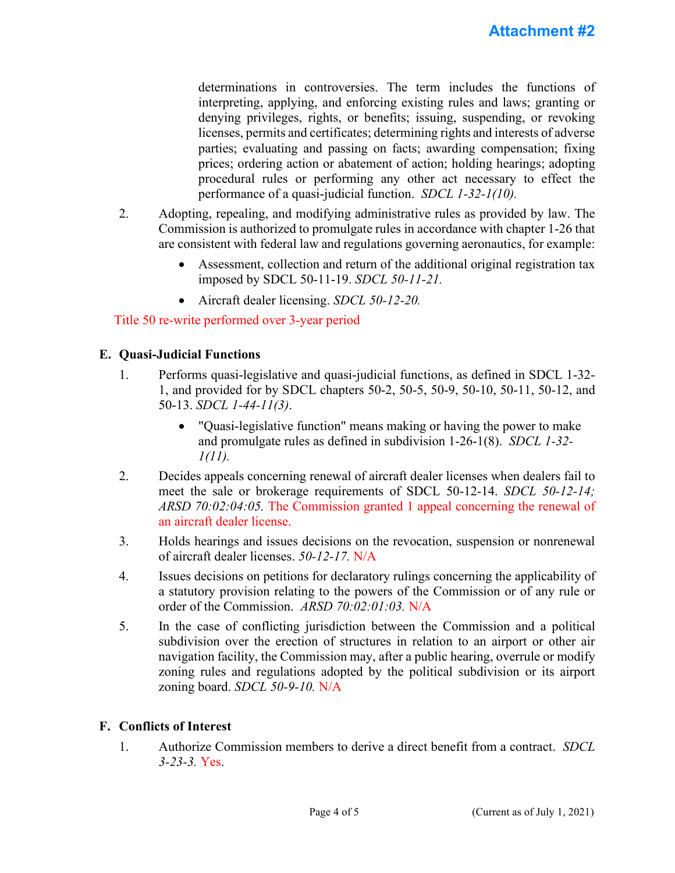determinations in controversies. The term includes the functions of interpreting, applying, and enforcing existing rules and laws; granting or denying privileges, rights, or benefits; issuing, suspending, or revoking licenses, permits and certificates; determining rights and interests of adverse parties; evaluating and passing on facts; awarding compensation; fixing prices; ordering action or abatement of action; holding hearings; adopting procedural rules or performing any other act necessary to effect the performance of a quasi-judicial function. *SDCL 1-32-1(10).*

- 2. Adopting, repealing, and modifying administrative rules as provided by law. The Commission is authorized to promulgate rules in accordance with chapter 1-26 that are consistent with federal law and regulations governing aeronautics, for example:
	- Assessment, collection and return of the additional original registration tax imposed by SDCL 50-11-19. *SDCL 50-11-21.*
	- Aircraft dealer licensing. *SDCL 50-12-20.*

### Title 50 re-write performed over 3-year period

#### **E. Quasi-Judicial Functions**

- 1. Performs quasi-legislative and quasi-judicial functions, as defined in SDCL 1-32- 1, and provided for by SDCL chapters 50-2, 50-5, 50-9, 50-10, 50-11, 50-12, and 50-13. *SDCL 1-44-11(3)*.
	- "Quasi-legislative function" means making or having the power to make and promulgate rules as defined in subdivision 1-26-1(8). *SDCL 1-32- 1(11).*
- 2. Decides appeals concerning renewal of aircraft dealer licenses when dealers fail to meet the sale or brokerage requirements of SDCL 50-12-14. *SDCL 50-12-14; ARSD 70:02:04:05.* The Commission granted 1 appeal concerning the renewal of an aircraft dealer license.
- 3. Holds hearings and issues decisions on the revocation, suspension or nonrenewal of aircraft dealer licenses. *50-12-17.* N/A
- 4. Issues decisions on petitions for declaratory rulings concerning the applicability of a statutory provision relating to the powers of the Commission or of any rule or order of the Commission. *ARSD 70:02:01:03.* N/A
- 5. In the case of conflicting jurisdiction between the Commission and a political subdivision over the erection of structures in relation to an airport or other air navigation facility, the Commission may, after a public hearing, overrule or modify zoning rules and regulations adopted by the political subdivision or its airport zoning board. *SDCL 50-9-10.* N/A

#### **F. Conflicts of Interest**

1. Authorize Commission members to derive a direct benefit from a contract. *SDCL 3-23-3.* Yes.